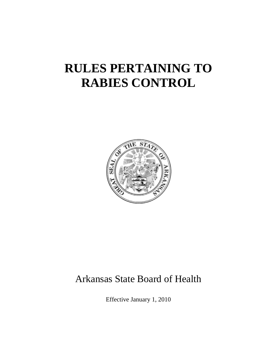# **RULES PERTAINING TO RABIES CONTROL**



## Arkansas State Board of Health

Effective January 1, 2010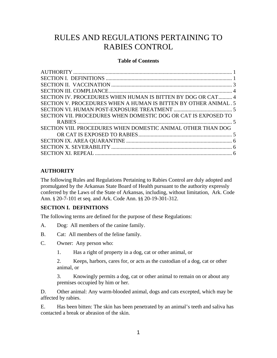### RULES AND REGULATIONS PERTAINING TO RABIES CONTROL

#### **Table of Contents**

| SECTION IV. PROCEDURES WHEN HUMAN IS BITTEN BY DOG OR CAT 4     |  |
|-----------------------------------------------------------------|--|
| SECTION V. PROCEDURES WHEN A HUMAN IS BITTEN BY OTHER ANIMAL. 5 |  |
|                                                                 |  |
| SECTION VII. PROCEDURES WHEN DOMESTIC DOG OR CAT IS EXPOSED TO  |  |
|                                                                 |  |
| SECTION VIII. PROCEDURES WHEN DOMESTIC ANIMAL OTHER THAN DOG    |  |
|                                                                 |  |
|                                                                 |  |
|                                                                 |  |
|                                                                 |  |
|                                                                 |  |

#### **AUTHORITY**

The following Rules and Regulations Pertaining to Rabies Control are duly adopted and promulgated by the Arkansas State Board of Health pursuant to the authority expressly conferred by the Laws of the State of Arkansas, including, without limitation, Ark. Code Ann. § 20-7-101 et seq. and Ark. Code Ann. §§ 20-19-301-312.

#### **SECTION I. DEFINITIONS**

The following terms are defined for the purpose of these Regulations:

- A. Dog: All members of the canine family.
- B. Cat: All members of the feline family.
- C. Owner: Any person who:
	- 1. Has a right of property in a dog, cat or other animal, or

2. Keeps, harbors, cares for, or acts as the custodian of a dog, cat or other animal, or

3. Knowingly permits a dog, cat or other animal to remain on or about any premises occupied by him or her.

D. Other animal: Any warm-blooded animal, dogs and cats excepted, which may be affected by rabies.

E. Has been bitten: The skin has been penetrated by an animal's teeth and saliva has contacted a break or abrasion of the skin.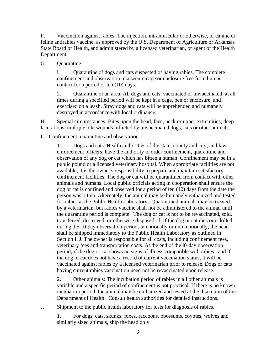F. Vaccination against rabies: The injection, intramuscular or otherwise, of canine or feline antirabies vaccine, as approved by the U.S. Department of Agriculture or Arkansas State Board of Health, and administered by a licensed veterinarian, or agent of the Health Department.

G. Quarantine

l. Quarantine of dogs and cats suspected of having rabies. The complete confinement and observation in a secure cage or enclosure free from human contact for a period of ten (10) days.

2. Quarantine of an area. All dogs and cats, vaccinated or unvaccinated, at all times during a specified period will be kept in a cage, pen or enclosure, and exercised on a leash. Stray dogs and cats will be apprehended and humanely destroyed in accordance with local ordinance.

H. Special circumstances: Bites upon the head, face, neck or upper extremities; deep lacerations; multiple bite wounds inflicted by unvaccinated dogs, cats or other animals.

I. Confinement, quarantine and observation

1. Dogs and cats: Health authorities of the state, county and city, and law enforcement officers, have the authority to order confinement, quarantine and observation of any dog or cat which has bitten a human. Confinement may be in a public pound or a licensed veterinary hospital. When appropriate facilities are not available, it is the owner's responsibility to prepare and maintain satisfactory confinement facilities. The dog or cat will be quarantined from contact with other animals and humans. Local public officials acting in cooperation shall ensure the dog or cat is confined and observed for a period of ten (10) days from the date the person was bitten. Alternately, the animal may be humanely euthanized and tested for rabies at the Public Health Laboratory. Quarantined animals may be treated by a veterinarian, but rabies vaccine shall not be administered to the animal until the quarantine period is complete. The dog or cat is not to be revaccinated, sold, transferred, destroyed, or otherwise disposed of. If the dog or cat dies or is killed during the 10-day observation period, intentionally or unintentionally, the head shall be shipped immediately to the Public Health Laboratory as outlined in Section I. J. The owner is responsible for all costs, including confinement fees, veterinary fees and transportation costs. At the end of the l0-day observation period, if the dog or cat shows no signs of illness compatible with rabies , and if the dog or cat does not have a record of current vaccination status, it will be vaccinated against rabies by a licensed veterinarian prior to release. Dogs or cats having current rabies vaccination need not be revaccinated upon release.

2. Other animals: The incubation period of rabies in all other animals is variable and a specific period of confinement is not practical. If there is no known incubation period, the animal may be euthanized and tested at the discretion of the Department of Health. Consult health authorities for detailed instructions.

J. Shipment to the public health laboratory for tests for diagnosis of rabies.

1. For dogs, cats, skunks, foxes, raccoons, opossums, coyotes, wolves and similarly sized animals, ship the head only.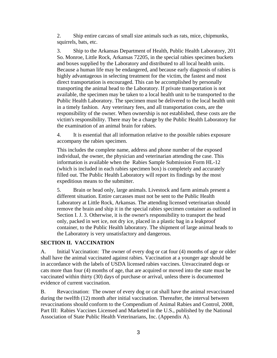2. Ship entire carcass of small size animals such as rats, mice, chipmunks, squirrels, bats, etc.

3. Ship to the Arkansas Department of Health, Public Health Laboratory, 201 So. Monroe, Little Rock, Arkansas 72205, in the special rabies specimen buckets and boxes supplied by the Laboratory and distributed to all local health units. Because a human life may be endangered, and because early diagnosis of rabies is highly advantageous in selecting treatment for the victim, the fastest and most direct transportation is encouraged. This can be accomplished by personally transporting the animal head to the Laboratory. If private transportation is not available, the specimen may be taken to a local health unit to be transported to the Public Health Laboratory. The specimen must be delivered to the local health unit in a timely fashion. Any veterinary fees, and all transportation costs, are the responsibility of the owner. When ownership is not established, these costs are the victim's responsibility. There may be a charge by the Public Health Laboratory for the examination of an animal brain for rabies.

4. It is essential that all information relative to the possible rabies exposure accompany the rabies specimen.

This includes the complete name, address and phone number of the exposed individual, the owner, the physician and veterinarian attending the case. This information is available when the Rabies Sample Submission Form HL-12 (which is included in each rabies specimen box) is completely and accurately filled out. The Public Health Laboratory will report its findings by the most expeditious means to the submitter.

5. Brain or head only, large animals. Livestock and farm animals present a different situation. Entire carcasses must not be sent to the Public Health Laboratory at Little Rock, Arkansas. The attending licensed veterinarian should remove the brain and ship it in the special rabies specimen container as outlined in Section I. J. 3. Otherwise, it is the owner's responsibility to transport the head only, packed in wet ice, not dry ice, placed in a plastic bag in a leakproof container, to the Public Health laboratory. The shipment of large animal heads to the Laboratory is very unsatisfactory and dangerous.

#### **SECTION II. VACCINATION**

A. Initial Vaccination: The owner of every dog or cat four (4) months of age or older shall have the animal vaccinated against rabies. Vaccination at a younger age should be in accordance with the labels of USDA licensed rabies vaccines. Unvaccinated dogs or cats more than four (4) months of age, that are acquired or moved into the state must be vaccinated within thirty (30) days of purchase or arrival, unless there is documented evidence of current vaccination.

B. Revaccination: The owner of every dog or cat shall have the animal revaccinated during the twelfth (12) month after initial vaccination. Thereafter, the interval between revaccinations should conform to the Compendium of Animal Rabies and Control, 2008, Part III: Rabies Vaccines Licensed and Marketed in the U.S., published by the National Association of State Public Health Veterinarians, Inc. (Appendix A).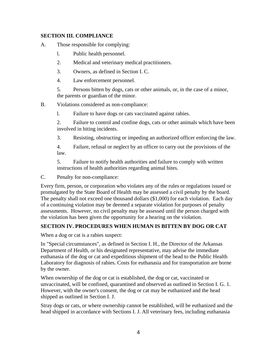#### **SECTION III. COMPLIANCE**

- A. Those responsible for complying:
	- l. Public health personnel.
	- 2. Medical and veterinary medical practitioners.
	- 3. Owners, as defined in Section I. C.
	- 4. Law enforcement personnel.

5. Persons bitten by dogs, cats or other animals, or, in the case of a minor, the parents or guardian of the minor.

B. Violations considered as non-compliance:

l. Failure to have dogs or cats vaccinated against rabies.

2. Failure to control and confine dogs, cats or other animals which have been involved in biting incidents.

- 3. Resisting, obstructing or impeding an authorized officer enforcing the law.
- 4. Failure, refusal or neglect by an officer to carry out the provisions of the law.

5. Failure to notify health authorities and failure to comply with written instructions of health authorities regarding animal bites.

C. Penalty for non-compliance:

Every firm, person, or corporation who violates any of the rules or regulations issued or promulgated by the State Board of Health may be assessed a civil penalty by the board. The penalty shall not exceed one thousand dollars (\$1,000) for each violation. Each day of a continuing violation may be deemed a separate violation for purposes of penalty assessments. However, no civil penalty may be assessed until the person charged with the violation has been given the opportunity for a hearing on the violation.

#### **SECTION IV. PROCEDURES WHEN HUMAN IS BITTEN BY DOG OR CAT**

When a dog or cat is a rabies suspect:

In "Special circumstances", as defined in Section I. H., the Director of the Arkansas Department of Health, or his designated representative, may advise the immediate euthanasia of the dog or cat and expeditious shipment of the head to the Public Health Laboratory for diagnosis of rabies. Costs for euthanasia and for transportation are borne by the owner.

When ownership of the dog or cat is established, the dog or cat, vaccinated or unvaccinated, will be confined, quarantined and observed as outlined in Section I. G. 1. However, with the owner's consent, the dog or cat may be euthanized and the head shipped as outlined in Section I. J.

Stray dogs or cats, or where ownership cannot be established, will be euthanized and the head shipped in accordance with Sections I. J. All veterinary fees, including euthanasia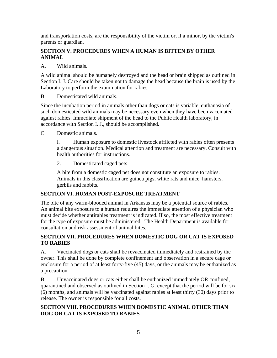and transportation costs, are the responsibility of the victim or, if a minor, by the victim's parents or guardian.

#### **SECTION V. PROCEDURES WHEN A HUMAN IS BITTEN BY OTHER ANIMAL**

#### A. Wild animals.

A wild animal should be humanely destroyed and the head or brain shipped as outlined in Section I. J. Care should be taken not to damage the head because the brain is used by the Laboratory to perform the examination for rabies.

B. Domesticated wild animals.

Since the incubation period in animals other than dogs or cats is variable, euthanasia of such domesticated wild animals may be necessary even when they have been vaccinated against rabies. Immediate shipment of the head to the Public Health laboratory, in accordance with Section I. J., should be accomplished.

C. Domestic animals.

l. Human exposure to domestic livestock afflicted with rabies often presents a dangerous situation. Medical attention and treatment are necessary. Consult with health authorities for instructions.

2. Domesticated caged pets

A bite from a domestic caged pet does not constitute an exposure to rabies. Animals in this classification are guinea pigs, white rats and mice, hamsters, gerbils and rabbits.

#### **SECTION VI. HUMAN POST-EXPOSURE TREATMENT**

The bite of any warm-blooded animal in Arkansas may be a potential source of rabies. An animal bite exposure to a human requires the immediate attention of a physician who must decide whether antirabies treatment is indicated. If so, the most effective treatment for the type of exposure must be administered. The Health Department is available for consultation and risk assessment of animal bites.

#### **SECTION VII. PROCEDURES WHEN DOMESTIC DOG OR CAT IS EXPOSED TO RABIES**

A. Vaccinated dogs or cats shall be revaccinated immediately and restrained by the owner. This shall be done by complete confinement and observation in a secure cage or enclosure for a period of at least forty-five (45) days, or the animals may be euthanized as a precaution.

B. Unvaccinated dogs or cats either shall be euthanized immediately OR confined, quarantined and observed as outlined in Section I. G. except that the period will be for six (6) months, and animals will be vaccinated against rabies at least thirty (30) days prior to release. The owner is responsible for all costs.

#### **SECTION VIII. PROCEDURES WHEN DOMESTIC ANIMAL OTHER THAN DOG OR CAT IS EXPOSED TO RABIES**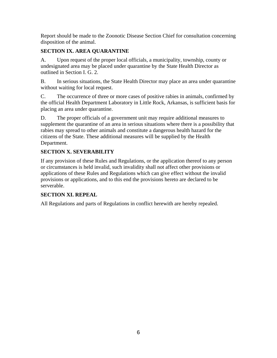Report should be made to the Zoonotic Disease Section Chief for consultation concerning disposition of the animal.

#### **SECTION IX. AREA QUARANTINE**

A. Upon request of the proper local officials, a municipality, township, county or undesignated area may be placed under quarantine by the State Health Director as outlined in Section I. G. 2.

B. In serious situations, the State Health Director may place an area under quarantine without waiting for local request.

C. The occurrence of three or more cases of positive rabies in animals, confirmed by the official Health Department Laboratory in Little Rock, Arkansas, is sufficient basis for placing an area under quarantine.

D. The proper officials of a government unit may require additional measures to supplement the quarantine of an area in serious situations where there is a possibility that rabies may spread to other animals and constitute a dangerous health hazard for the citizens of the State. These additional measures will be supplied by the Health Department.

#### **SECTION X. SEVERABILITY**

If any provision of these Rules and Regulations, or the application thereof to any person or circumstances is held invalid, such invalidity shall not affect other provisions or applications of these Rules and Regulations which can give effect without the invalid provisions or applications, and to this end the provisions hereto are declared to be serverable.

#### **SECTION XI. REPEAL**

All Regulations and parts of Regulations in conflict herewith are hereby repealed.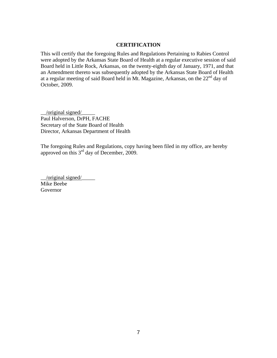#### **CERTIFICATION**

This will certify that the foregoing Rules and Regulations Pertaining to Rabies Control were adopted by the Arkansas State Board of Health at a regular executive session of said Board held in Little Rock, Arkansas, on the twenty-eighth day of January, 1971, and that an Amendment thereto was subsequently adopted by the Arkansas State Board of Health at a regular meeting of said Board held in Mt. Magazine, Arkansas, on the 22nd day of October, 2009.

 $\Box$ /original signed $\Box$ Paul Halverson, DrPH, FACHE Secretary of the State Board of Health Director, Arkansas Department of Health

The foregoing Rules and Regulations, copy having been filed in my office, are hereby approved on this 3rd day of December, 2009.

 $\overline{\text{original signed}}$ Mike Beebe Governor